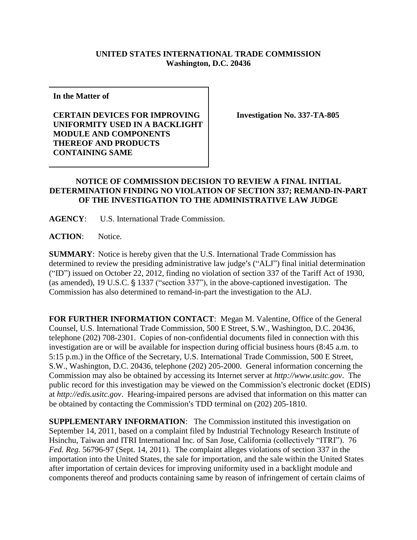## **UNITED STATES INTERNATIONAL TRADE COMMISSION Washington, D.C. 20436**

**In the Matter of** 

**CERTAIN DEVICES FOR IMPROVING UNIFORMITY USED IN A BACKLIGHT MODULE AND COMPONENTS THEREOF AND PRODUCTS CONTAINING SAME**

**Investigation No. 337-TA-805**

## **NOTICE OF COMMISSION DECISION TO REVIEW A FINAL INITIAL DETERMINATION FINDING NO VIOLATION OF SECTION 337; REMAND-IN-PART OF THE INVESTIGATION TO THE ADMINISTRATIVE LAW JUDGE**

**AGENCY**: U.S. International Trade Commission.

ACTION: Notice.

**SUMMARY**: Notice is hereby given that the U.S. International Trade Commission has determined to review the presiding administrative law judge's ("ALJ") final initial determination ("ID") issued on October 22, 2012, finding no violation of section 337 of the Tariff Act of 1930, (as amended), 19 U.S.C.  $\frac{6}{5}$  1337 ("section 337"), in the above-captioned investigation. The Commission has also determined to remand-in-part the investigation to the ALJ.

**FOR FURTHER INFORMATION CONTACT**: Megan M. Valentine, Office of the General Counsel, U.S. International Trade Commission, 500 E Street, S.W., Washington, D.C. 20436, telephone (202) 708-2301. Copies of non-confidential documents filed in connection with this investigation are or will be available for inspection during official business hours (8:45 a.m. to 5:15 p.m.) in the Office of the Secretary, U.S. International Trade Commission, 500 E Street, S.W., Washington, D.C. 20436, telephone (202) 205-2000. General information concerning the Commission may also be obtained by accessing its Internet server at *http://www.usitc.gov*. The public record for this investigation may be viewed on the Commission's electronic docket (EDIS) at *http://edis.usitc.gov*. Hearing-impaired persons are advised that information on this matter can be obtained by contacting the Commission's TDD terminal on (202) 205-1810.

**SUPPLEMENTARY INFORMATION:** The Commission instituted this investigation on September 14, 2011, based on a complaint filed by Industrial Technology Research Institute of Hsinchu, Taiwan and ITRI International Inc. of San Jose, California (collectively "ITRI"). 76 *Fed. Reg.* 56796-97 (Sept. 14, 2011). The complaint alleges violations of section 337 in the importation into the United States, the sale for importation, and the sale within the United States after importation of certain devices for improving uniformity used in a backlight module and components thereof and products containing same by reason of infringement of certain claims of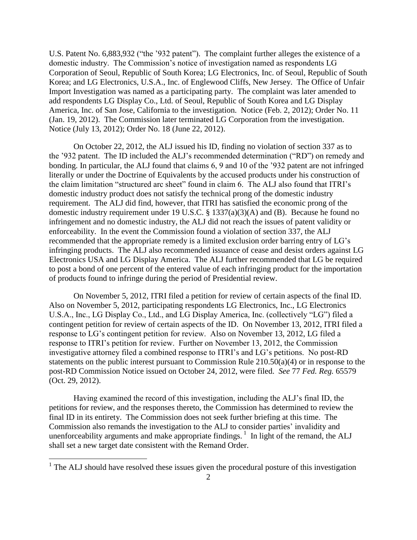U.S. Patent No. 6,883,932 ("the '932 patent"). The complaint further alleges the existence of a domestic industry. The Commission's notice of investigation named as respondents LG Corporation of Seoul, Republic of South Korea; LG Electronics, Inc. of Seoul, Republic of South Korea; and LG Electronics, U.S.A., Inc. of Englewood Cliffs, New Jersey. The Office of Unfair Import Investigation was named as a participating party. The complaint was later amended to add respondents LG Display Co., Ltd. of Seoul, Republic of South Korea and LG Display America, Inc. of San Jose, California to the investigation. Notice (Feb. 2, 2012); Order No. 11 (Jan. 19, 2012). The Commission later terminated LG Corporation from the investigation. Notice (July 13, 2012); Order No. 18 (June 22, 2012).

On October 22, 2012, the ALJ issued his ID, finding no violation of section 337 as to the '932 patent. The ID included the ALJ's recommended determination ("RD") on remedy and bonding. In particular, the ALJ found that claims 6, 9 and 10 of the '932 patent are not infringed literally or under the Doctrine of Equivalents by the accused products under his construction of the claim limitation "structured arc sheet" found in claim 6. The ALJ also found that ITRI's domestic industry product does not satisfy the technical prong of the domestic industry requirement. The ALJ did find, however, that ITRI has satisfied the economic prong of the domestic industry requirement under 19 U.S.C. § 1337(a)(3)(A) and (B). Because he found no infringement and no domestic industry, the ALJ did not reach the issues of patent validity or enforceability. In the event the Commission found a violation of section 337, the ALJ recommended that the appropriate remedy is a limited exclusion order barring entry of LG's infringing products. The ALJ also recommended issuance of cease and desist orders against LG Electronics USA and LG Display America. The ALJ further recommended that LG be required to post a bond of one percent of the entered value of each infringing product for the importation of products found to infringe during the period of Presidential review.

On November 5, 2012, ITRI filed a petition for review of certain aspects of the final ID. Also on November 5, 2012, participating respondents LG Electronics, Inc., LG Electronics U.S.A., Inc., LG Display Co., Ltd., and LG Display America, Inc. (collectively "LG") filed a contingent petition for review of certain aspects of the ID. On November 13, 2012, ITRI filed a response to LG's contingent petition for review. Also on November 13, 2012, LG filed a response to ITRI's petition for review. Further on November 13, 2012, the Commission investigative attorney filed a combined response to ITRI's and LG's petitions. No post-RD statements on the public interest pursuant to Commission Rule 210.50(a)(4) or in response to the post-RD Commission Notice issued on October 24, 2012, were filed. *See* 77 *Fed. Reg.* 65579 (Oct. 29, 2012).

Having examined the record of this investigation, including the ALJ's final ID, the petitions for review, and the responses thereto, the Commission has determined to review the final ID in its entirety. The Commission does not seek further briefing at this time. The Commission also remands the investigation to the ALJ to consider parties' invalidity and unenforceability arguments and make appropriate findings.<sup>1</sup> In light of the remand, the ALJ shall set a new target date consistent with the Remand Order.

 $\overline{a}$ 

 $<sup>1</sup>$  The ALJ should have resolved these issues given the procedural posture of this investigation</sup>